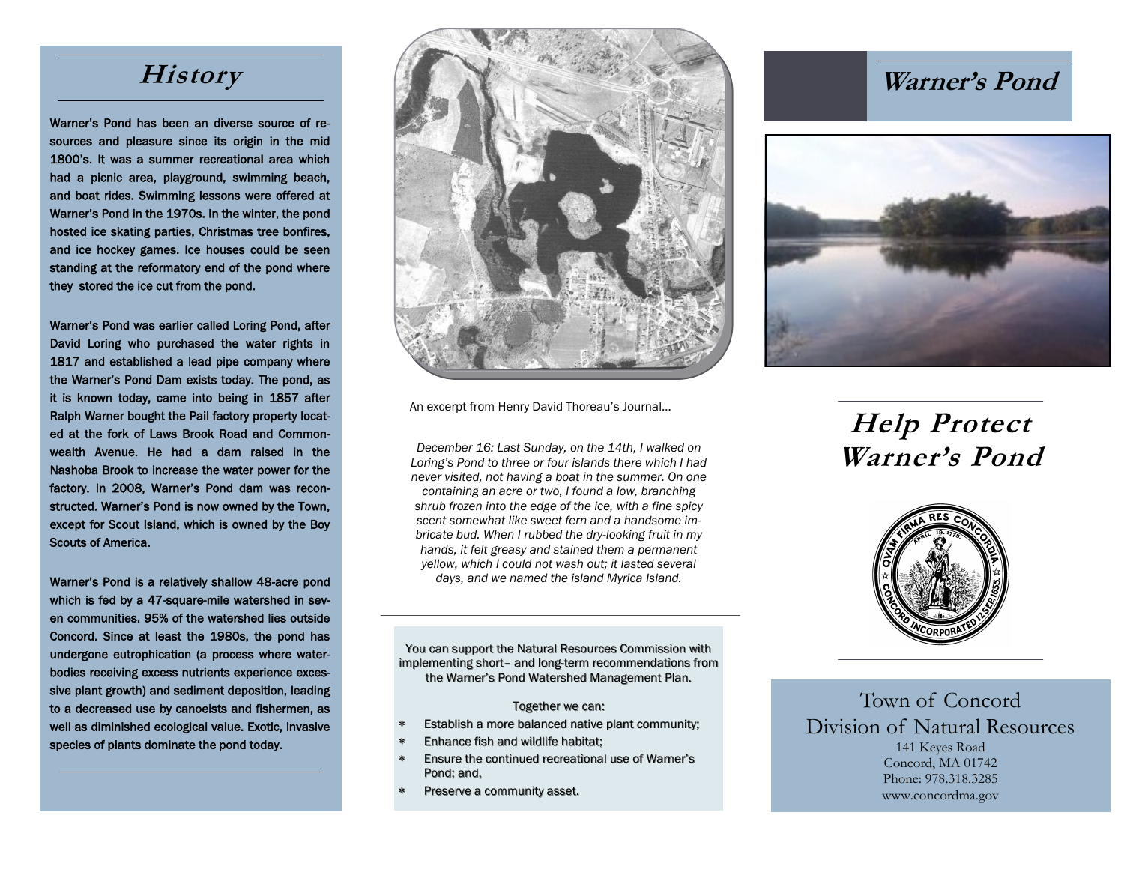Warner's Pond has been an diverse source of resources and pleasure since its origin in the mid 1800's. It was a summer recreational area which had a picnic area, playground, swimming beach, and boat rides. Swimming lessons were offered at Warner's Pond in the 1970s. In the winter, the pond hosted ice skating parties, Christmas tree bonfires, and ice hockey games. Ice houses could be seen standing at the reformatory end of the pond where they stored the ice cut from the pond.

Warner's Pond was earlier called Loring Pond, after David Loring who purchased the water rights in 1817 and established a lead pipe company where the Warner's Pond Dam exists today. The pond, as it is known today, came into being in 1857 after Ralph Warner bought the Pail factory property located at the fork of Laws Brook Road and Commonwealth Avenue. He had a dam raised in the Nashoba Brook to increase the water power for the factory. In 2008, Warner's Pond dam was reconstructed. Warner's Pond is now owned by the Town, except for Scout Island, which is owned by the Boy Scouts of America.

Warner's Pond is a relatively shallow 48-acre pond which is fed by a 47-square-mile watershed in seven communities. 95% of the watershed lies outside Concord. Since at least the 1980s, the pond has undergone eutrophication (a process where waterbodies receiving excess nutrients experience excessive plant growth) and sediment deposition, leading to a decreased use by canoeists and fishermen, as well as diminished ecological value. Exotic, invasive species of plants dominate the pond today.



An excerpt from Henry David Thoreau's Journal…

*December 16: Last Sunday, on the 14th, I walked on Loring's Pond to three or four islands there which I had never visited, not having a boat in the summer. On one containing an acre or two, I found a low, branching shrub frozen into the edge of the ice, with a fine spicy scent somewhat like sweet fern and a handsome imbricate bud. When I rubbed the dry-looking fruit in my hands, it felt greasy and stained them a permanent yellow, which I could not wash out; it lasted several days, and we named the island Myrica Island.*

You can support the Natural Resources Commission with implementing short– and long-term recommendations from the Warner's Pond Watershed Management Plan.

#### Together we can:

- Establish a more balanced native plant community;
- Enhance fish and wildlife habitat;
- Ensure the continued recreational use of Warner's Pond; and,
- Preserve a community asset.



# **Help Protect Warner's Pond**



Town of Concord Division of Natural Resources 141 Keyes Road Concord, MA 01742 Phone: 978.318.3285 www.concordma.gov